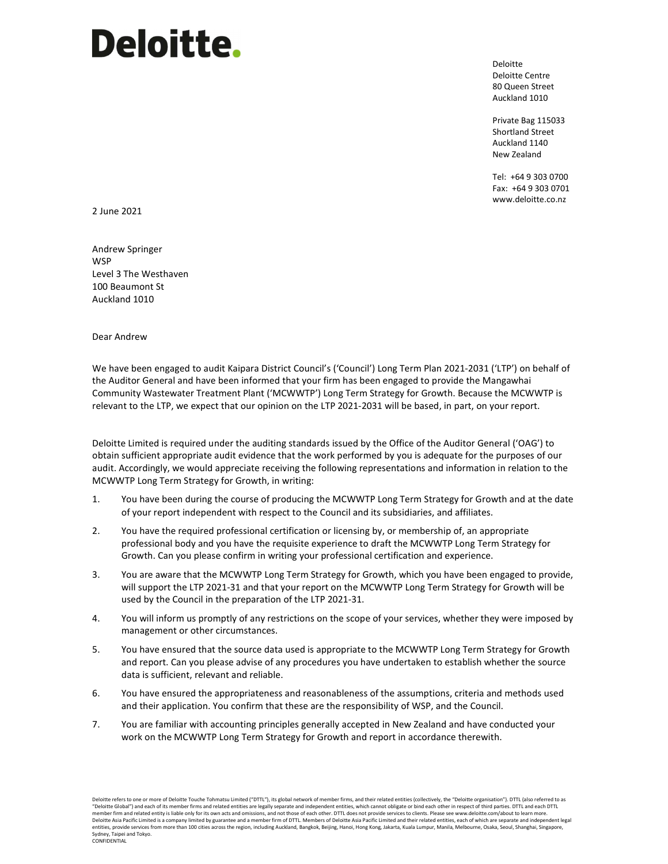## **Deloitte.**

Deloitte Deloitte Centre 80 Queen Street Auckland 1010

Private Bag 115033 Shortland Street Auckland 1140 New Zealand

Tel: +64 9 303 0700 Fax: +64 9 303 0701 www.deloitte.co.nz

2 June 2021

Andrew Springer **WSP** Level 3 The Westhaven 100 Beaumont St Auckland 1010

Dear Andrew

We have been engaged to audit Kaipara District Council's ('Council') Long Term Plan 2021-2031 ('LTP') on behalf of the Auditor General and have been informed that your firm has been engaged to provide the Mangawhai Community Wastewater Treatment Plant ('MCWWTP') Long Term Strategy for Growth. Because the MCWWTP is relevant to the LTP, we expect that our opinion on the LTP 2021-2031 will be based, in part, on your report.

Deloitte Limited is required under the auditing standards issued by the Office of the Auditor General ('OAG') to obtain sufficient appropriate audit evidence that the work performed by you is adequate for the purposes of our audit. Accordingly, we would appreciate receiving the following representations and information in relation to the MCWWTP Long Term Strategy for Growth, in writing:

- 1. You have been during the course of producing the MCWWTP Long Term Strategy for Growth and at the date of your report independent with respect to the Council and its subsidiaries, and affiliates.
- 2. You have the required professional certification or licensing by, or membership of, an appropriate professional body and you have the requisite experience to draft the MCWWTP Long Term Strategy for Growth. Can you please confirm in writing your professional certification and experience.
- 3. You are aware that the MCWWTP Long Term Strategy for Growth, which you have been engaged to provide, will support the LTP 2021-31 and that your report on the MCWWTP Long Term Strategy for Growth will be used by the Council in the preparation of the LTP 2021-31.
- 4. You will inform us promptly of any restrictions on the scope of your services, whether they were imposed by management or other circumstances.
- 5. You have ensured that the source data used is appropriate to the MCWWTP Long Term Strategy for Growth and report. Can you please advise of any procedures you have undertaken to establish whether the source data is sufficient, relevant and reliable.
- 6. You have ensured the appropriateness and reasonableness of the assumptions, criteria and methods used and their application. You confirm that these are the responsibility of WSP, and the Council.
- 7. You are familiar with accounting principles generally accepted in New Zealand and have conducted your work on the MCWWTP Long Term Strategy for Growth and report in accordance therewith.

Deloitte refers to one or more of Deloitte Touche Tohmatsu Limited ("DTTL"), its global network of member firms, and their related entities (collectively, the "Deloitte Organisation"). DTTL (also referred to as<br>"Deloitte G member firm and related entity is liable only for its own acts and omissions, and not those of each other. DTTL does not provide services to clients. Please see www.deloitte.com/about to learn more. Deloitte Asia Pacific Limited is a company limited by guarantee and a member firm of DTTL. Members of Deloitte Asia Pacific Limited and their related entities, each of which are separate and independent legal<br>entities, pro Sydney, Taipei and Tokyo.<br>CONFIDENTIAL